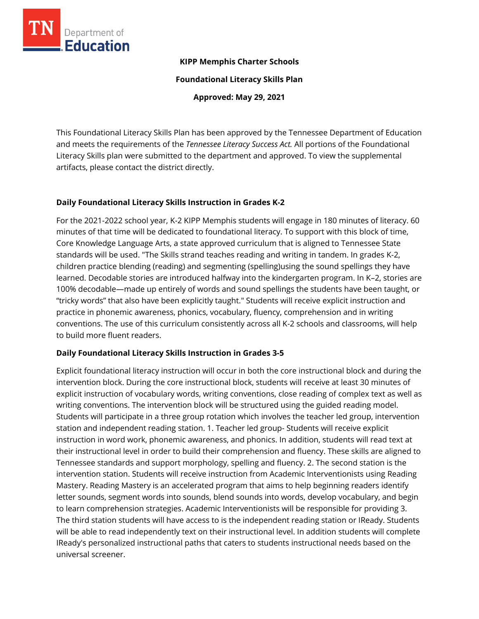

# **KIPP Memphis Charter Schools**

**Foundational Literacy Skills Plan**

**Approved: May 29, 2021**

This Foundational Literacy Skills Plan has been approved by the Tennessee Department of Education and meets the requirements of the *Tennessee Literacy Success Act.* All portions of the Foundational Literacy Skills plan were submitted to the department and approved. To view the supplemental artifacts, please contact the district directly.

# **Daily Foundational Literacy Skills Instruction in Grades K-2**

For the 2021-2022 school year, K-2 KIPP Memphis students will engage in 180 minutes of literacy. 60 minutes of that time will be dedicated to foundational literacy. To support with this block of time, Core Knowledge Language Arts, a state approved curriculum that is aligned to Tennessee State standards will be used. "The Skills strand teaches reading and writing in tandem. In grades K-2, children practice blending (reading) and segmenting (spelling)using the sound spellings they have learned. Decodable stories are introduced halfway into the kindergarten program. In K–2, stories are 100% decodable—made up entirely of words and sound spellings the students have been taught, or "tricky words" that also have been explicitly taught." Students will receive explicit instruction and practice in phonemic awareness, phonics, vocabulary, fluency, comprehension and in writing conventions. The use of this curriculum consistently across all K-2 schools and classrooms, will help to build more fluent readers.

# **Daily Foundational Literacy Skills Instruction in Grades 3-5**

Explicit foundational literacy instruction will occur in both the core instructional block and during the intervention block. During the core instructional block, students will receive at least 30 minutes of explicit instruction of vocabulary words, writing conventions, close reading of complex text as well as writing conventions. The intervention block will be structured using the guided reading model. Students will participate in a three group rotation which involves the teacher led group, intervention station and independent reading station. 1. Teacher led group- Students will receive explicit instruction in word work, phonemic awareness, and phonics. In addition, students will read text at their instructional level in order to build their comprehension and fluency. These skills are aligned to Tennessee standards and support morphology, spelling and fluency. 2. The second station is the intervention station. Students will receive instruction from Academic Interventionists using Reading Mastery. Reading Mastery is an accelerated program that aims to help beginning readers identify letter sounds, segment words into sounds, blend sounds into words, develop vocabulary, and begin to learn comprehension strategies. Academic Interventionists will be responsible for providing 3. The third station students will have access to is the independent reading station or IReady. Students will be able to read independently text on their instructional level. In addition students will complete IReady's personalized instructional paths that caters to students instructional needs based on the universal screener.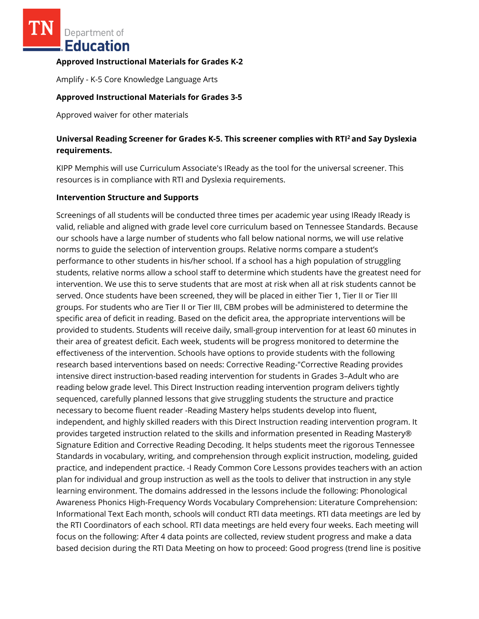Department of Education

### **Approved Instructional Materials for Grades K-2**

Amplify - K-5 Core Knowledge Language Arts

### **Approved Instructional Materials for Grades 3-5**

Approved waiver for other materials

# **Universal Reading Screener for Grades K-5. This screener complies with RTI<sup>2</sup>and Say Dyslexia requirements.**

KIPP Memphis will use Curriculum Associate's IReady as the tool for the universal screener. This resources is in compliance with RTI and Dyslexia requirements.

#### **Intervention Structure and Supports**

Screenings of all students will be conducted three times per academic year using IReady IReady is valid, reliable and aligned with grade level core curriculum based on Tennessee Standards. Because our schools have a large number of students who fall below national norms, we will use relative norms to guide the selection of intervention groups. Relative norms compare a student's performance to other students in his/her school. If a school has a high population of struggling students, relative norms allow a school staff to determine which students have the greatest need for intervention. We use this to serve students that are most at risk when all at risk students cannot be served. Once students have been screened, they will be placed in either Tier 1, Tier II or Tier III groups. For students who are Tier II or Tier III, CBM probes will be administered to determine the specific area of deficit in reading. Based on the deficit area, the appropriate interventions will be provided to students. Students will receive daily, small-group intervention for at least 60 minutes in their area of greatest deficit. Each week, students will be progress monitored to determine the effectiveness of the intervention. Schools have options to provide students with the following research based interventions based on needs: Corrective Reading-"Corrective Reading provides intensive direct instruction-based reading intervention for students in Grades 3–Adult who are reading below grade level. This Direct Instruction reading intervention program delivers tightly sequenced, carefully planned lessons that give struggling students the structure and practice necessary to become fluent reader -Reading Mastery helps students develop into fluent, independent, and highly skilled readers with this Direct Instruction reading intervention program. It provides targeted instruction related to the skills and information presented in Reading Mastery® Signature Edition and Corrective Reading Decoding. It helps students meet the rigorous Tennessee Standards in vocabulary, writing, and comprehension through explicit instruction, modeling, guided practice, and independent practice. -I Ready Common Core Lessons provides teachers with an action plan for individual and group instruction as well as the tools to deliver that instruction in any style learning environment. The domains addressed in the lessons include the following: Phonological Awareness Phonics High-Frequency Words Vocabulary Comprehension: Literature Comprehension: Informational Text Each month, schools will conduct RTI data meetings. RTI data meetings are led by the RTI Coordinators of each school. RTI data meetings are held every four weeks. Each meeting will focus on the following: After 4 data points are collected, review student progress and make a data based decision during the RTI Data Meeting on how to proceed: Good progress (trend line is positive